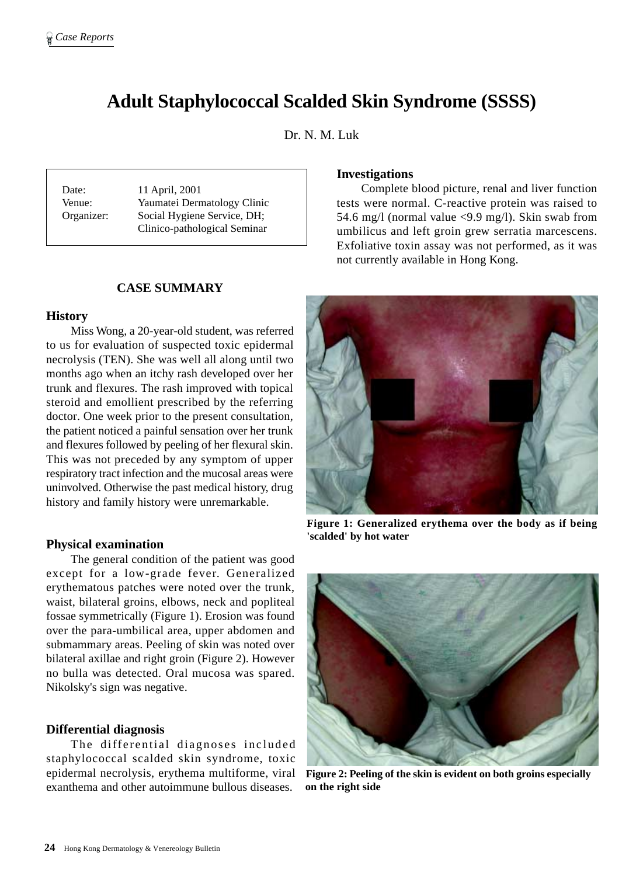# **Adult Staphylococcal Scalded Skin Syndrome (SSSS)**

Dr. N. M. Luk

Date: 11 April, 2001 Venue: Yaumatei Dermatology Clinic Organizer: Social Hygiene Service, DH; Clinico-pathological Seminar

## **CASE SUMMARY**

#### **History**

Miss Wong, a 20-year-old student, was referred to us for evaluation of suspected toxic epidermal necrolysis (TEN). She was well all along until two months ago when an itchy rash developed over her trunk and flexures. The rash improved with topical steroid and emollient prescribed by the referring doctor. One week prior to the present consultation, the patient noticed a painful sensation over her trunk and flexures followed by peeling of her flexural skin. This was not preceded by any symptom of upper respiratory tract infection and the mucosal areas were uninvolved. Otherwise the past medical history, drug history and family history were unremarkable.

#### **Physical examination**

The general condition of the patient was good except for a low-grade fever. Generalized erythematous patches were noted over the trunk, waist, bilateral groins, elbows, neck and popliteal fossae symmetrically (Figure 1). Erosion was found over the para-umbilical area, upper abdomen and submammary areas. Peeling of skin was noted over bilateral axillae and right groin (Figure 2). However no bulla was detected. Oral mucosa was spared. Nikolsky's sign was negative.

#### **Differential diagnosis**

The differential diagnoses included staphylococcal scalded skin syndrome, toxic epidermal necrolysis, erythema multiforme, viral exanthema and other autoimmune bullous diseases.

## **Investigations**

Complete blood picture, renal and liver function tests were normal. C-reactive protein was raised to 54.6 mg/l (normal value <9.9 mg/l). Skin swab from umbilicus and left groin grew serratia marcescens. Exfoliative toxin assay was not performed, as it was not currently available in Hong Kong.



**Figure 1: Generalized erythema over the body as if being 'scalded' by hot water**



**Figure 2: Peeling of the skin is evident on both groins especially on the right side**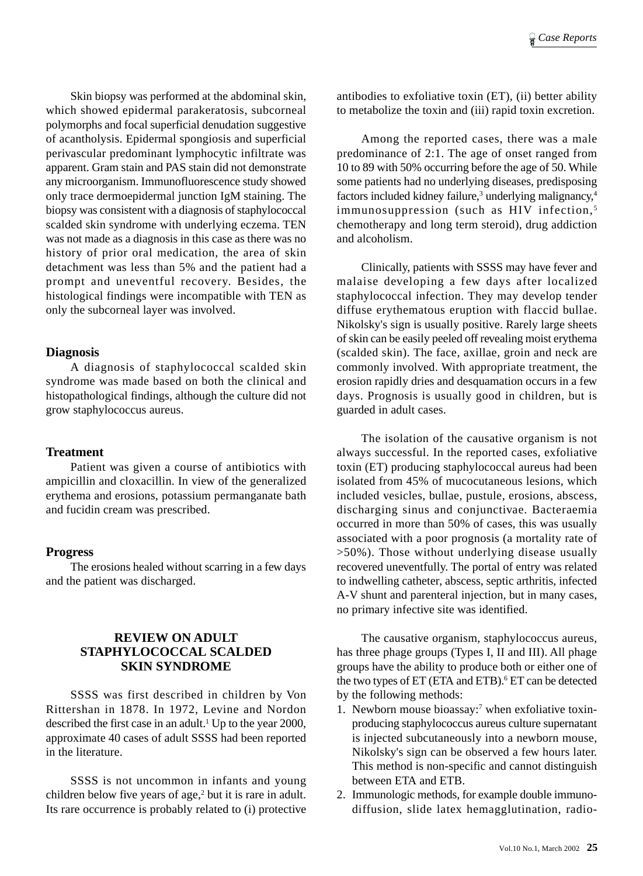Skin biopsy was performed at the abdominal skin, which showed epidermal parakeratosis, subcorneal polymorphs and focal superficial denudation suggestive of acantholysis. Epidermal spongiosis and superficial perivascular predominant lymphocytic infiltrate was apparent. Gram stain and PAS stain did not demonstrate any microorganism. Immunofluorescence study showed only trace dermoepidermal junction IgM staining. The biopsy was consistent with a diagnosis of staphylococcal scalded skin syndrome with underlying eczema. TEN was not made as a diagnosis in this case as there was no history of prior oral medication, the area of skin detachment was less than 5% and the patient had a prompt and uneventful recovery. Besides, the histological findings were incompatible with TEN as only the subcorneal layer was involved.

## **Diagnosis**

A diagnosis of staphylococcal scalded skin syndrome was made based on both the clinical and histopathological findings, although the culture did not grow staphylococcus aureus.

## **Treatment**

Patient was given a course of antibiotics with ampicillin and cloxacillin. In view of the generalized erythema and erosions, potassium permanganate bath and fucidin cream was prescribed.

## **Progress**

The erosions healed without scarring in a few days and the patient was discharged.

# **REVIEW ON ADULT STAPHYLOCOCCAL SCALDED SKIN SYNDROME**

SSSS was first described in children by Von Rittershan in 1878. In 1972, Levine and Nordon described the first case in an adult.<sup>1</sup> Up to the year 2000, approximate 40 cases of adult SSSS had been reported in the literature.

SSSS is not uncommon in infants and young children below five years of age,<sup>2</sup> but it is rare in adult. Its rare occurrence is probably related to (i) protective

antibodies to exfoliative toxin (ET), (ii) better ability to metabolize the toxin and (iii) rapid toxin excretion.

Among the reported cases, there was a male predominance of 2:1. The age of onset ranged from 10 to 89 with 50% occurring before the age of 50. While some patients had no underlying diseases, predisposing factors included kidney failure,<sup>3</sup> underlying malignancy,<sup>4</sup> immunosuppression (such as HIV infection,<sup>5</sup> chemotherapy and long term steroid), drug addiction and alcoholism.

Clinically, patients with SSSS may have fever and malaise developing a few days after localized staphylococcal infection. They may develop tender diffuse erythematous eruption with flaccid bullae. Nikolsky's sign is usually positive. Rarely large sheets of skin can be easily peeled off revealing moist erythema (scalded skin). The face, axillae, groin and neck are commonly involved. With appropriate treatment, the erosion rapidly dries and desquamation occurs in a few days. Prognosis is usually good in children, but is guarded in adult cases.

The isolation of the causative organism is not always successful. In the reported cases, exfoliative toxin (ET) producing staphylococcal aureus had been isolated from 45% of mucocutaneous lesions, which included vesicles, bullae, pustule, erosions, abscess, discharging sinus and conjunctivae. Bacteraemia occurred in more than 50% of cases, this was usually associated with a poor prognosis (a mortality rate of >50%). Those without underlying disease usually recovered uneventfully. The portal of entry was related to indwelling catheter, abscess, septic arthritis, infected A-V shunt and parenteral injection, but in many cases, no primary infective site was identified.

The causative organism, staphylococcus aureus, has three phage groups (Types I, II and III). All phage groups have the ability to produce both or either one of the two types of ET (ETA and ETB).<sup>6</sup> ET can be detected by the following methods:

- 1. Newborn mouse bioassay:<sup>7</sup> when exfoliative toxinproducing staphylococcus aureus culture supernatant is injected subcutaneously into a newborn mouse, Nikolsky's sign can be observed a few hours later. This method is non-specific and cannot distinguish between ETA and ETB.
- 2. Immunologic methods, for example double immunodiffusion, slide latex hemagglutination, radio-